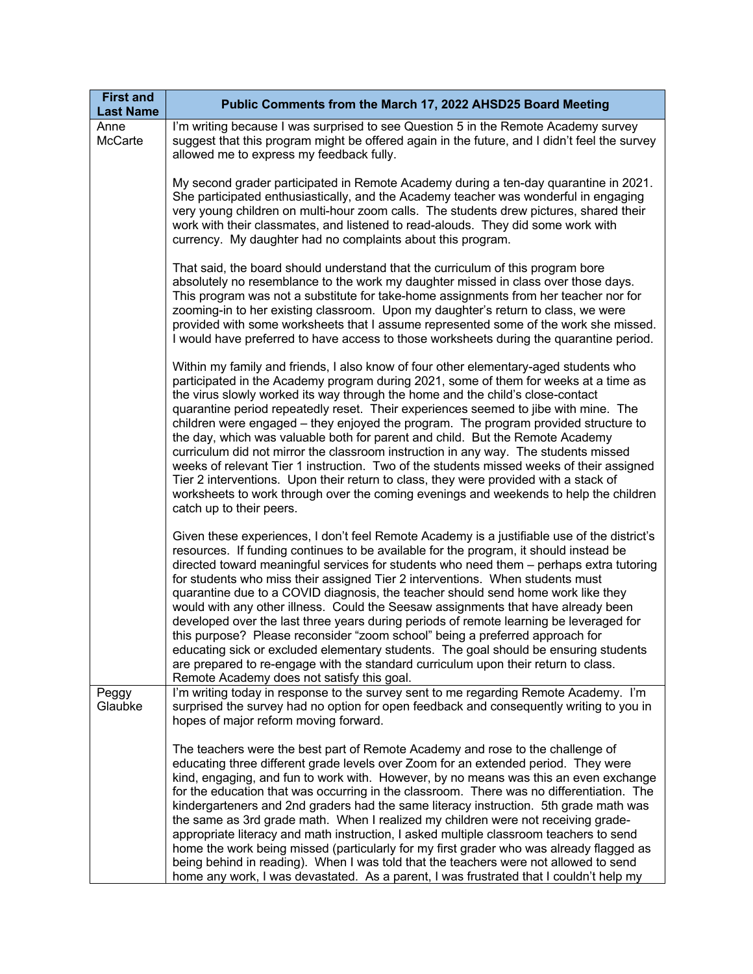| <b>First and</b><br><b>Last Name</b> | Public Comments from the March 17, 2022 AHSD25 Board Meeting                                                                                                                                                                                                                                                                                                                                                                                                                                                                                                                                                                                                                                                                                                                                                                                                                                                                                    |
|--------------------------------------|-------------------------------------------------------------------------------------------------------------------------------------------------------------------------------------------------------------------------------------------------------------------------------------------------------------------------------------------------------------------------------------------------------------------------------------------------------------------------------------------------------------------------------------------------------------------------------------------------------------------------------------------------------------------------------------------------------------------------------------------------------------------------------------------------------------------------------------------------------------------------------------------------------------------------------------------------|
| Anne<br>McCarte                      | I'm writing because I was surprised to see Question 5 in the Remote Academy survey<br>suggest that this program might be offered again in the future, and I didn't feel the survey<br>allowed me to express my feedback fully.                                                                                                                                                                                                                                                                                                                                                                                                                                                                                                                                                                                                                                                                                                                  |
|                                      | My second grader participated in Remote Academy during a ten-day quarantine in 2021.<br>She participated enthusiastically, and the Academy teacher was wonderful in engaging<br>very young children on multi-hour zoom calls. The students drew pictures, shared their<br>work with their classmates, and listened to read-alouds. They did some work with<br>currency. My daughter had no complaints about this program.                                                                                                                                                                                                                                                                                                                                                                                                                                                                                                                       |
|                                      | That said, the board should understand that the curriculum of this program bore<br>absolutely no resemblance to the work my daughter missed in class over those days.<br>This program was not a substitute for take-home assignments from her teacher nor for<br>zooming-in to her existing classroom. Upon my daughter's return to class, we were<br>provided with some worksheets that I assume represented some of the work she missed.<br>I would have preferred to have access to those worksheets during the quarantine period.                                                                                                                                                                                                                                                                                                                                                                                                           |
|                                      | Within my family and friends, I also know of four other elementary-aged students who<br>participated in the Academy program during 2021, some of them for weeks at a time as<br>the virus slowly worked its way through the home and the child's close-contact<br>quarantine period repeatedly reset. Their experiences seemed to jibe with mine. The<br>children were engaged – they enjoyed the program. The program provided structure to<br>the day, which was valuable both for parent and child. But the Remote Academy<br>curriculum did not mirror the classroom instruction in any way. The students missed<br>weeks of relevant Tier 1 instruction. Two of the students missed weeks of their assigned<br>Tier 2 interventions. Upon their return to class, they were provided with a stack of<br>worksheets to work through over the coming evenings and weekends to help the children<br>catch up to their peers.                   |
|                                      | Given these experiences, I don't feel Remote Academy is a justifiable use of the district's<br>resources. If funding continues to be available for the program, it should instead be<br>directed toward meaningful services for students who need them - perhaps extra tutoring<br>for students who miss their assigned Tier 2 interventions. When students must<br>quarantine due to a COVID diagnosis, the teacher should send home work like they<br>would with any other illness. Could the Seesaw assignments that have already been<br>developed over the last three years during periods of remote learning be leveraged for<br>this purpose? Please reconsider "zoom school" being a preferred approach for<br>educating sick or excluded elementary students. The goal should be ensuring students<br>are prepared to re-engage with the standard curriculum upon their return to class.<br>Remote Academy does not satisfy this goal. |
| Peggy<br>Glaubke                     | I'm writing today in response to the survey sent to me regarding Remote Academy. I'm<br>surprised the survey had no option for open feedback and consequently writing to you in<br>hopes of major reform moving forward.                                                                                                                                                                                                                                                                                                                                                                                                                                                                                                                                                                                                                                                                                                                        |
|                                      | The teachers were the best part of Remote Academy and rose to the challenge of<br>educating three different grade levels over Zoom for an extended period. They were<br>kind, engaging, and fun to work with. However, by no means was this an even exchange<br>for the education that was occurring in the classroom. There was no differentiation. The<br>kindergarteners and 2nd graders had the same literacy instruction. 5th grade math was<br>the same as 3rd grade math. When I realized my children were not receiving grade-<br>appropriate literacy and math instruction, I asked multiple classroom teachers to send<br>home the work being missed (particularly for my first grader who was already flagged as<br>being behind in reading). When I was told that the teachers were not allowed to send<br>home any work, I was devastated. As a parent, I was frustrated that I couldn't help my                                   |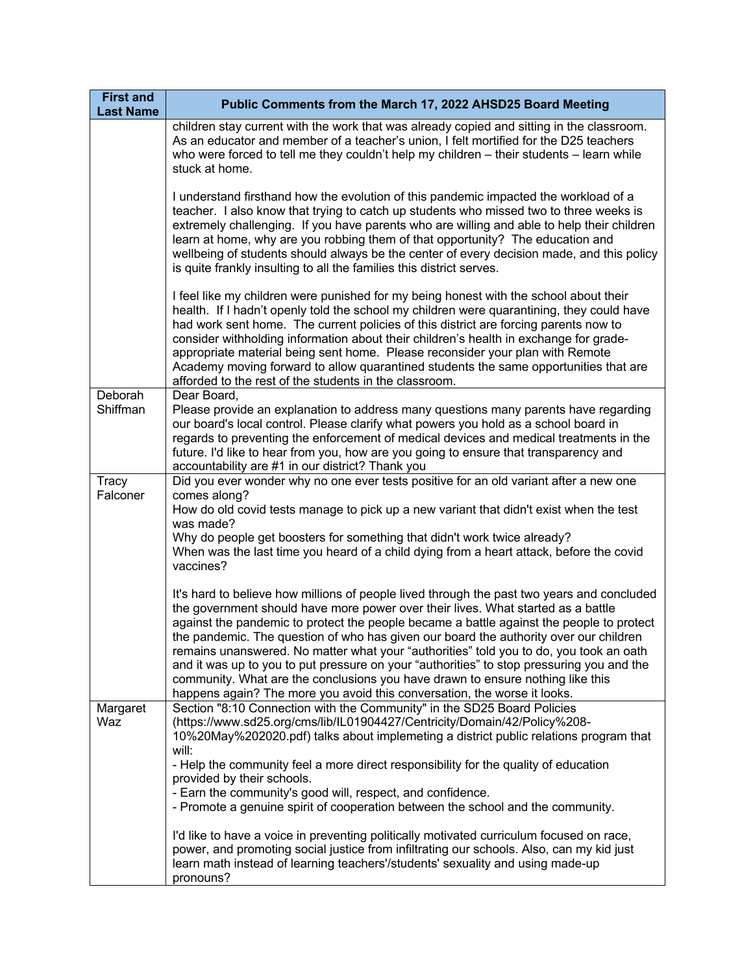| <b>First and</b><br><b>Last Name</b> | Public Comments from the March 17, 2022 AHSD25 Board Meeting                                                                                                                                                                                                                                                                                                                                                                                                                                                                                                                                                                                                                                                             |
|--------------------------------------|--------------------------------------------------------------------------------------------------------------------------------------------------------------------------------------------------------------------------------------------------------------------------------------------------------------------------------------------------------------------------------------------------------------------------------------------------------------------------------------------------------------------------------------------------------------------------------------------------------------------------------------------------------------------------------------------------------------------------|
|                                      | children stay current with the work that was already copied and sitting in the classroom.<br>As an educator and member of a teacher's union, I felt mortified for the D25 teachers<br>who were forced to tell me they couldn't help my children $-$ their students $-$ learn while<br>stuck at home.                                                                                                                                                                                                                                                                                                                                                                                                                     |
|                                      | I understand firsthand how the evolution of this pandemic impacted the workload of a<br>teacher. I also know that trying to catch up students who missed two to three weeks is<br>extremely challenging. If you have parents who are willing and able to help their children<br>learn at home, why are you robbing them of that opportunity? The education and<br>wellbeing of students should always be the center of every decision made, and this policy<br>is quite frankly insulting to all the families this district serves.                                                                                                                                                                                      |
|                                      | I feel like my children were punished for my being honest with the school about their<br>health. If I hadn't openly told the school my children were quarantining, they could have<br>had work sent home. The current policies of this district are forcing parents now to<br>consider withholding information about their children's health in exchange for grade-<br>appropriate material being sent home. Please reconsider your plan with Remote<br>Academy moving forward to allow quarantined students the same opportunities that are<br>afforded to the rest of the students in the classroom.                                                                                                                   |
| Deborah<br>Shiffman                  | Dear Board,<br>Please provide an explanation to address many questions many parents have regarding<br>our board's local control. Please clarify what powers you hold as a school board in<br>regards to preventing the enforcement of medical devices and medical treatments in the<br>future. I'd like to hear from you, how are you going to ensure that transparency and<br>accountability are #1 in our district? Thank you                                                                                                                                                                                                                                                                                          |
| <b>Tracy</b><br>Falconer             | Did you ever wonder why no one ever tests positive for an old variant after a new one<br>comes along?<br>How do old covid tests manage to pick up a new variant that didn't exist when the test<br>was made?<br>Why do people get boosters for something that didn't work twice already?<br>When was the last time you heard of a child dying from a heart attack, before the covid<br>vaccines?                                                                                                                                                                                                                                                                                                                         |
|                                      | It's hard to believe how millions of people lived through the past two years and concluded<br>the government should have more power over their lives. What started as a battle<br>against the pandemic to protect the people became a battle against the people to protect<br>the pandemic. The question of who has given our board the authority over our children<br>remains unanswered. No matter what your "authorities" told you to do, you took an oath<br>and it was up to you to put pressure on your "authorities" to stop pressuring you and the<br>community. What are the conclusions you have drawn to ensure nothing like this<br>happens again? The more you avoid this conversation, the worse it looks. |
| Margaret<br>Waz                      | Section "8:10 Connection with the Community" in the SD25 Board Policies<br>(https://www.sd25.org/cms/lib/IL01904427/Centricity/Domain/42/Policy%208-<br>10%20May%202020.pdf) talks about implemeting a district public relations program that<br>will:<br>- Help the community feel a more direct responsibility for the quality of education<br>provided by their schools.                                                                                                                                                                                                                                                                                                                                              |
|                                      | - Earn the community's good will, respect, and confidence.<br>- Promote a genuine spirit of cooperation between the school and the community.<br>I'd like to have a voice in preventing politically motivated curriculum focused on race,<br>power, and promoting social justice from infiltrating our schools. Also, can my kid just<br>learn math instead of learning teachers'/students' sexuality and using made-up                                                                                                                                                                                                                                                                                                  |
|                                      | pronouns?                                                                                                                                                                                                                                                                                                                                                                                                                                                                                                                                                                                                                                                                                                                |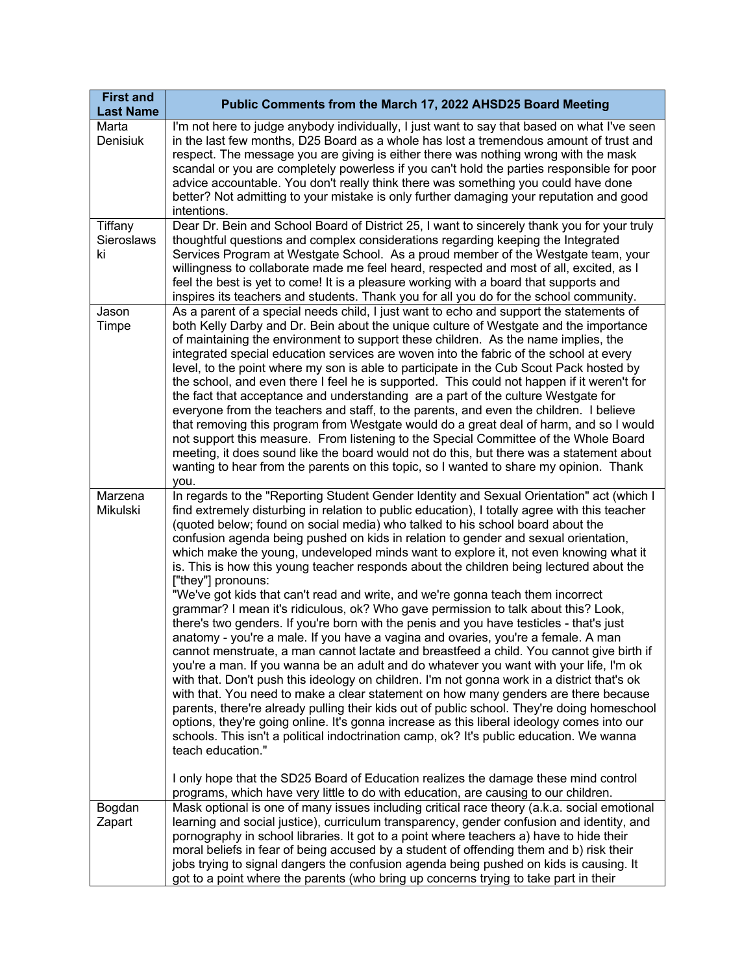| <b>First and</b><br><b>Last Name</b> | Public Comments from the March 17, 2022 AHSD25 Board Meeting                                                                                                                                                                                                                                                                                                                                                                                                                                                                                                                                                                                                                                                                                                                                                                                                                                                                                                                                                                                                                                                                                                                                                                                                                                                                                                                                                                                                                                                                                                                                                                                                                                                                                                                                                  |
|--------------------------------------|---------------------------------------------------------------------------------------------------------------------------------------------------------------------------------------------------------------------------------------------------------------------------------------------------------------------------------------------------------------------------------------------------------------------------------------------------------------------------------------------------------------------------------------------------------------------------------------------------------------------------------------------------------------------------------------------------------------------------------------------------------------------------------------------------------------------------------------------------------------------------------------------------------------------------------------------------------------------------------------------------------------------------------------------------------------------------------------------------------------------------------------------------------------------------------------------------------------------------------------------------------------------------------------------------------------------------------------------------------------------------------------------------------------------------------------------------------------------------------------------------------------------------------------------------------------------------------------------------------------------------------------------------------------------------------------------------------------------------------------------------------------------------------------------------------------|
| Marta<br>Denisiuk                    | I'm not here to judge anybody individually, I just want to say that based on what I've seen<br>in the last few months, D25 Board as a whole has lost a tremendous amount of trust and<br>respect. The message you are giving is either there was nothing wrong with the mask<br>scandal or you are completely powerless if you can't hold the parties responsible for poor<br>advice accountable. You don't really think there was something you could have done<br>better? Not admitting to your mistake is only further damaging your reputation and good<br>intentions.                                                                                                                                                                                                                                                                                                                                                                                                                                                                                                                                                                                                                                                                                                                                                                                                                                                                                                                                                                                                                                                                                                                                                                                                                                    |
| Tiffany<br>Sieroslaws<br>ki          | Dear Dr. Bein and School Board of District 25, I want to sincerely thank you for your truly<br>thoughtful questions and complex considerations regarding keeping the Integrated<br>Services Program at Westgate School. As a proud member of the Westgate team, your<br>willingness to collaborate made me feel heard, respected and most of all, excited, as I<br>feel the best is yet to come! It is a pleasure working with a board that supports and<br>inspires its teachers and students. Thank you for all you do for the school community.                                                                                                                                                                                                                                                                                                                                                                                                                                                                                                                                                                                                                                                                                                                                                                                                                                                                                                                                                                                                                                                                                                                                                                                                                                                            |
| Jason<br>Timpe                       | As a parent of a special needs child, I just want to echo and support the statements of<br>both Kelly Darby and Dr. Bein about the unique culture of Westgate and the importance<br>of maintaining the environment to support these children. As the name implies, the<br>integrated special education services are woven into the fabric of the school at every<br>level, to the point where my son is able to participate in the Cub Scout Pack hosted by<br>the school, and even there I feel he is supported. This could not happen if it weren't for<br>the fact that acceptance and understanding are a part of the culture Westgate for<br>everyone from the teachers and staff, to the parents, and even the children. I believe<br>that removing this program from Westgate would do a great deal of harm, and so I would<br>not support this measure. From listening to the Special Committee of the Whole Board<br>meeting, it does sound like the board would not do this, but there was a statement about<br>wanting to hear from the parents on this topic, so I wanted to share my opinion. Thank<br>you.                                                                                                                                                                                                                                                                                                                                                                                                                                                                                                                                                                                                                                                                                      |
| Marzena<br>Mikulski                  | In regards to the "Reporting Student Gender Identity and Sexual Orientation" act (which I<br>find extremely disturbing in relation to public education), I totally agree with this teacher<br>(quoted below; found on social media) who talked to his school board about the<br>confusion agenda being pushed on kids in relation to gender and sexual orientation,<br>which make the young, undeveloped minds want to explore it, not even knowing what it<br>is. This is how this young teacher responds about the children being lectured about the<br>["they"] pronouns:<br>"We've got kids that can't read and write, and we're gonna teach them incorrect<br>grammar? I mean it's ridiculous, ok? Who gave permission to talk about this? Look,<br>there's two genders. If you're born with the penis and you have testicles - that's just<br>anatomy - you're a male. If you have a vagina and ovaries, you're a female. A man<br>cannot menstruate, a man cannot lactate and breastfeed a child. You cannot give birth if<br>you're a man. If you wanna be an adult and do whatever you want with your life, I'm ok<br>with that. Don't push this ideology on children. I'm not gonna work in a district that's ok<br>with that. You need to make a clear statement on how many genders are there because<br>parents, there're already pulling their kids out of public school. They're doing homeschool<br>options, they're going online. It's gonna increase as this liberal ideology comes into our<br>schools. This isn't a political indoctrination camp, ok? It's public education. We wanna<br>teach education."<br>I only hope that the SD25 Board of Education realizes the damage these mind control<br>programs, which have very little to do with education, are causing to our children. |
| Bogdan<br>Zapart                     | Mask optional is one of many issues including critical race theory (a.k.a. social emotional<br>learning and social justice), curriculum transparency, gender confusion and identity, and<br>pornography in school libraries. It got to a point where teachers a) have to hide their<br>moral beliefs in fear of being accused by a student of offending them and b) risk their<br>jobs trying to signal dangers the confusion agenda being pushed on kids is causing. It                                                                                                                                                                                                                                                                                                                                                                                                                                                                                                                                                                                                                                                                                                                                                                                                                                                                                                                                                                                                                                                                                                                                                                                                                                                                                                                                      |
|                                      | got to a point where the parents (who bring up concerns trying to take part in their                                                                                                                                                                                                                                                                                                                                                                                                                                                                                                                                                                                                                                                                                                                                                                                                                                                                                                                                                                                                                                                                                                                                                                                                                                                                                                                                                                                                                                                                                                                                                                                                                                                                                                                          |